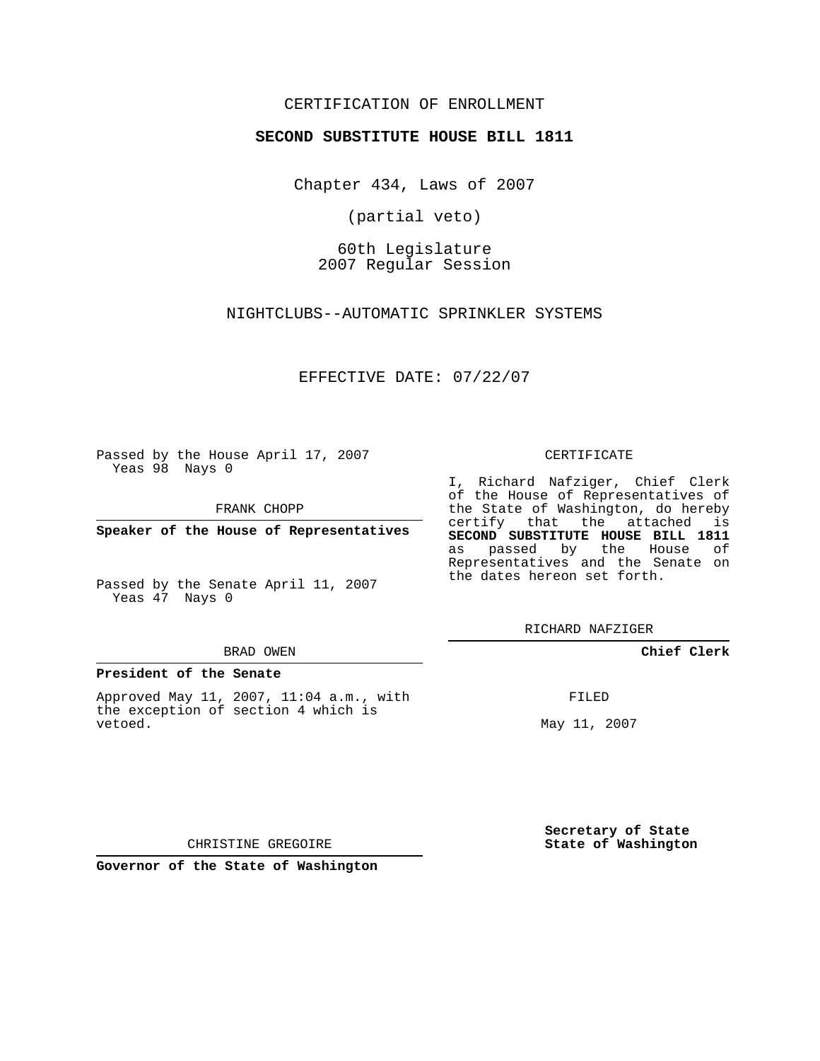## CERTIFICATION OF ENROLLMENT

### **SECOND SUBSTITUTE HOUSE BILL 1811**

Chapter 434, Laws of 2007

(partial veto)

60th Legislature 2007 Regular Session

NIGHTCLUBS--AUTOMATIC SPRINKLER SYSTEMS

EFFECTIVE DATE: 07/22/07

Passed by the House April 17, 2007 Yeas 98 Nays 0

FRANK CHOPP

**Speaker of the House of Representatives**

Passed by the Senate April 11, 2007 Yeas 47 Nays 0

#### BRAD OWEN

#### **President of the Senate**

Approved May 11, 2007, 11:04 a.m., with the exception of section 4 which is vetoed.

#### CERTIFICATE

I, Richard Nafziger, Chief Clerk of the House of Representatives of the State of Washington, do hereby certify that the attached is **SECOND SUBSTITUTE HOUSE BILL 1811** as passed by the House of Representatives and the Senate on the dates hereon set forth.

RICHARD NAFZIGER

**Chief Clerk**

FILED

May 11, 2007

**Secretary of State State of Washington**

CHRISTINE GREGOIRE

**Governor of the State of Washington**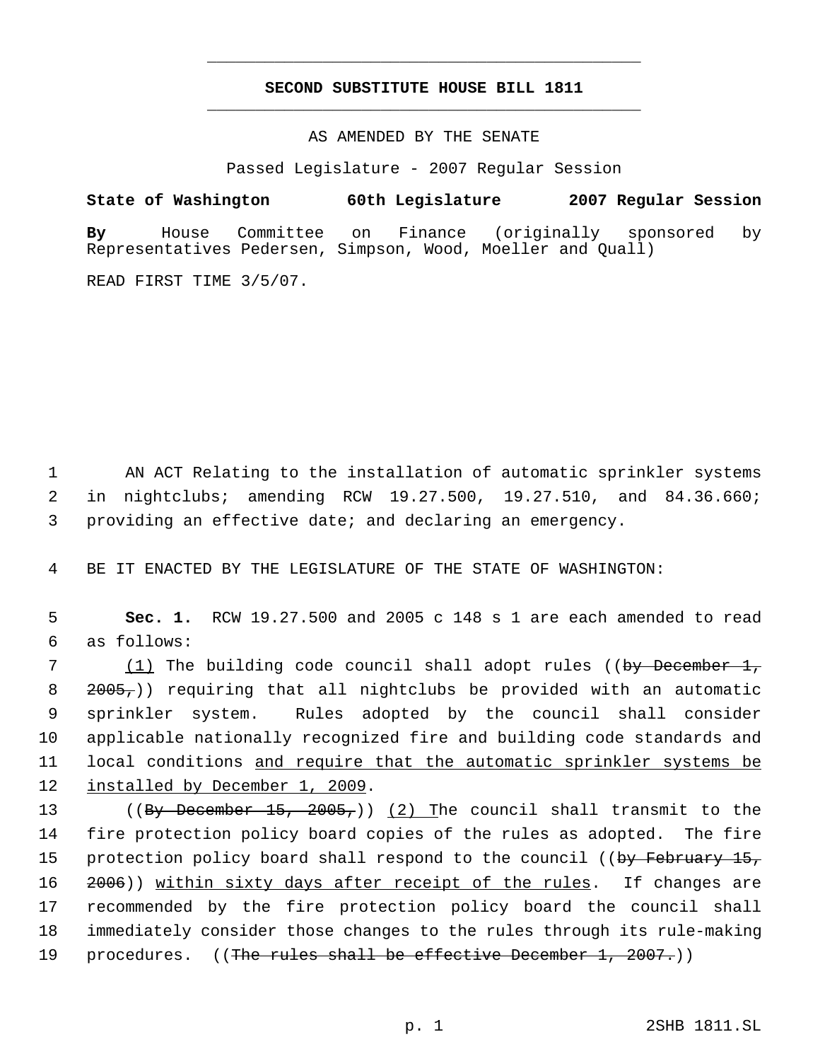# **SECOND SUBSTITUTE HOUSE BILL 1811** \_\_\_\_\_\_\_\_\_\_\_\_\_\_\_\_\_\_\_\_\_\_\_\_\_\_\_\_\_\_\_\_\_\_\_\_\_\_\_\_\_\_\_\_\_

\_\_\_\_\_\_\_\_\_\_\_\_\_\_\_\_\_\_\_\_\_\_\_\_\_\_\_\_\_\_\_\_\_\_\_\_\_\_\_\_\_\_\_\_\_

AS AMENDED BY THE SENATE

Passed Legislature - 2007 Regular Session

**State of Washington 60th Legislature 2007 Regular Session By** House Committee on Finance (originally sponsored by Representatives Pedersen, Simpson, Wood, Moeller and Quall)

READ FIRST TIME 3/5/07.

 1 AN ACT Relating to the installation of automatic sprinkler systems 2 in nightclubs; amending RCW 19.27.500, 19.27.510, and 84.36.660; 3 providing an effective date; and declaring an emergency.

4 BE IT ENACTED BY THE LEGISLATURE OF THE STATE OF WASHINGTON:

 5 **Sec. 1.** RCW 19.27.500 and 2005 c 148 s 1 are each amended to read 6 as follows:

7 (1) The building code council shall adopt rules ((by December 1, 2005,)) requiring that all nightclubs be provided with an automatic sprinkler system. Rules adopted by the council shall consider applicable nationally recognized fire and building code standards and local conditions and require that the automatic sprinkler systems be 12 installed by December 1, 2009.

13 ((By December 15, 2005,)) (2) The council shall transmit to the 14 fire protection policy board copies of the rules as adopted. The fire 15 protection policy board shall respond to the council ((by February 15, 16 2006)) within sixty days after receipt of the rules. If changes are 17 recommended by the fire protection policy board the council shall 18 immediately consider those changes to the rules through its rule-making 19 procedures. ((The rules shall be effective December 1, 2007.))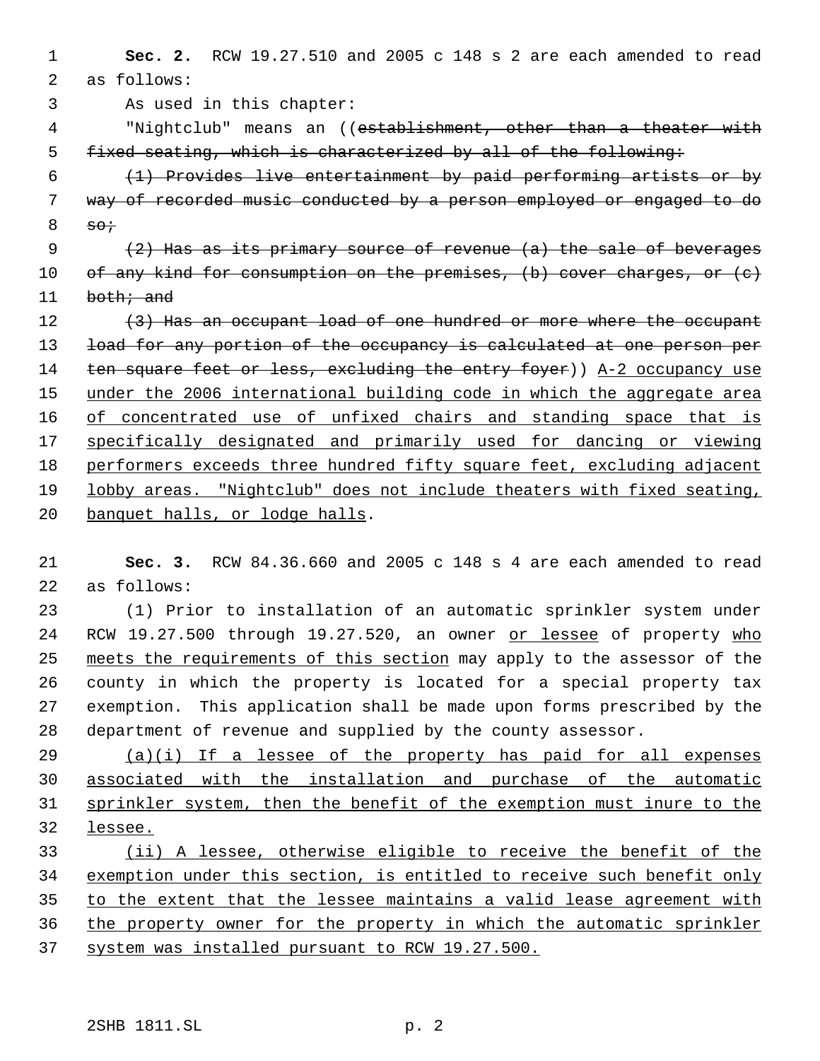**Sec. 2.** RCW 19.27.510 and 2005 c 148 s 2 are each amended to read as follows: As used in this chapter: "Nightclub" means an ((establishment, other than a theater with fixed seating, which is characterized by all of the following: (1) Provides live entertainment by paid performing artists or by way of recorded music conducted by a person employed or engaged to do so;  $(2)$  Has as its primary source of revenue  $(a)$  the sale of beverages 10 of any kind for consumption on the premises, (b) cover charges, or (c) 11 both; and 12 (3) Has an occupant load of one hundred or more where the occupant 13 load for any portion of the occupancy is calculated at one person per 14 ten square feet or less, excluding the entry foyer)) A-2 occupancy use 15 under the 2006 international building code in which the aggregate area 16 of concentrated use of unfixed chairs and standing space that is specifically designated and primarily used for dancing or viewing performers exceeds three hundred fifty square feet, excluding adjacent lobby areas. "Nightclub" does not include theaters with fixed seating, banquet halls, or lodge halls.

 **Sec. 3.** RCW 84.36.660 and 2005 c 148 s 4 are each amended to read as follows:

 (1) Prior to installation of an automatic sprinkler system under RCW 19.27.500 through 19.27.520, an owner or lessee of property who 25 meets the requirements of this section may apply to the assessor of the county in which the property is located for a special property tax exemption. This application shall be made upon forms prescribed by the department of revenue and supplied by the county assessor.

 (a)(i) If a lessee of the property has paid for all expenses associated with the installation and purchase of the automatic sprinkler system, then the benefit of the exemption must inure to the lessee.

 (ii) A lessee, otherwise eligible to receive the benefit of the exemption under this section, is entitled to receive such benefit only to the extent that the lessee maintains a valid lease agreement with the property owner for the property in which the automatic sprinkler system was installed pursuant to RCW 19.27.500.